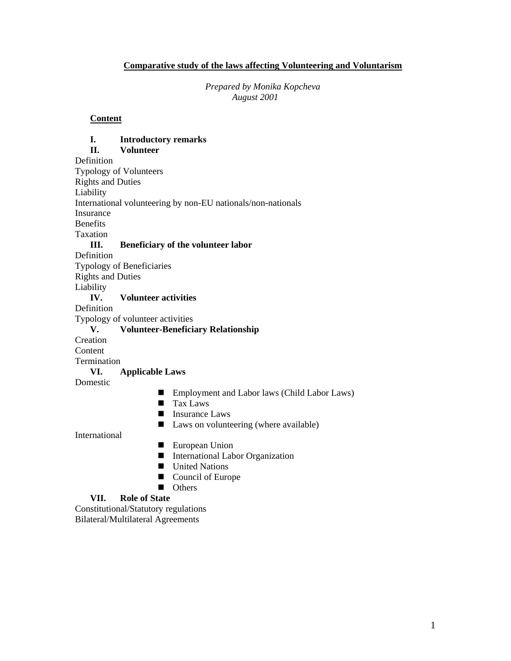### **Comparative study of the laws affecting Volunteering and Voluntarism**

*Prepared by Monika Kopcheva August 2001* 

#### **Content**

## **I. Introductory remarks II. Volunteer**  Definition Typology of Volunteers Rights and Duties Liability International volunteering by non-EU nationals/non-nationals Insurance Benefits Taxation **III. Beneficiary of the volunteer labor**  Definition Typology of Beneficiaries Rights and Duties Liability **IV. Volunteer activities**  Definition Typology of volunteer activities **V. Volunteer-Beneficiary Relationship**  Creation **Content** Termination **VI. Applicable Laws**  Domestic ■ Employment and Labor laws (Child Labor Laws) **Tax Laws Insurance Laws**

■ Laws on volunteering (where available)

International

- **European Union**
- International Labor Organization
- **United Nations**
- Council of Europe
- **Others**

### **VII. Role of State**

Constitutional/Statutory regulations Bilateral/Multilateral Agreements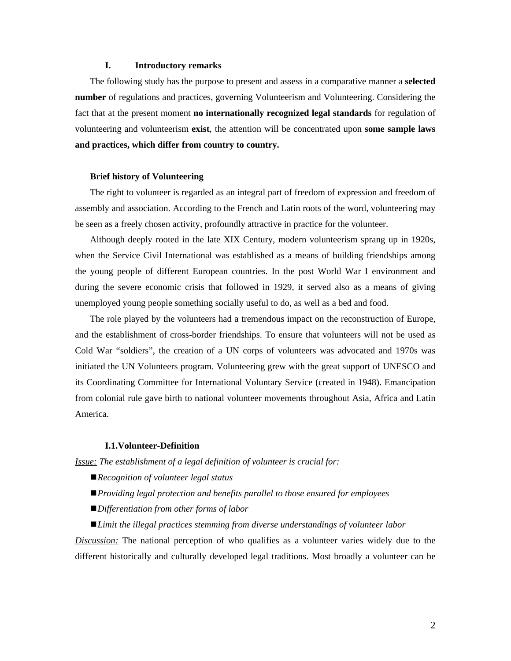#### **I. Introductory remarks**

The following study has the purpose to present and assess in a comparative manner a **selected number** of regulations and practices, governing Volunteerism and Volunteering. Considering the fact that at the present moment **no internationally recognized legal standards** for regulation of volunteering and volunteerism **exist**, the attention will be concentrated upon **some sample laws and practices, which differ from country to country.**

#### **Brief history of Volunteering**

The right to volunteer is regarded as an integral part of freedom of expression and freedom of assembly and association. According to the French and Latin roots of the word, volunteering may be seen as a freely chosen activity, profoundly attractive in practice for the volunteer.

Although deeply rooted in the late XIX Century, modern volunteerism sprang up in 1920s, when the Service Civil International was established as a means of building friendships among the young people of different European countries. In the post World War I environment and during the severe economic crisis that followed in 1929, it served also as a means of giving unemployed young people something socially useful to do, as well as a bed and food.

The role played by the volunteers had a tremendous impact on the reconstruction of Europe, and the establishment of cross-border friendships. To ensure that volunteers will not be used as Cold War "soldiers", the creation of a UN corps of volunteers was advocated and 1970s was initiated the UN Volunteers program. Volunteering grew with the great support of UNESCO and its Coordinating Committee for International Voluntary Service (created in 1948). Emancipation from colonial rule gave birth to national volunteer movements throughout Asia, Africa and Latin America.

#### **I.1.Volunteer-Definition**

*Issue: The establishment of a legal definition of volunteer is crucial for:* 

- *Recognition of volunteer legal status*
- *Providing legal protection and benefits parallel to those ensured for employees*
- *Differentiation from other forms of labor*
- *Limit the illegal practices stemming from diverse understandings of volunteer labor*

*Discussion:* The national perception of who qualifies as a volunteer varies widely due to the different historically and culturally developed legal traditions. Most broadly a volunteer can be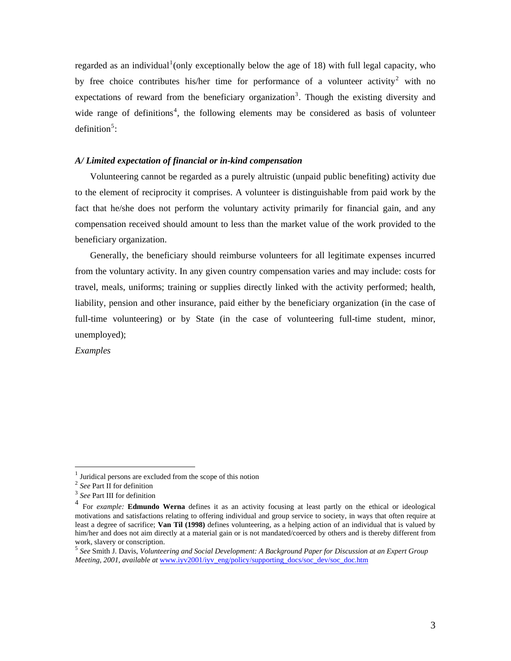regarded as an individual<sup>[1](#page-2-0)</sup>(only exceptionally below the age of 18) with full legal capacity, who by free choice contributes his/her time for performance of a volunteer activity<sup>[2](#page-2-1)</sup> with no expectations of reward from the beneficiary organization<sup>[3](#page-2-2)</sup>. Though the existing diversity and wide range of definitions<sup>[4](#page-2-3)</sup>, the following elements may be considered as basis of volunteer definition $5$ :

#### *A/ Limited expectation of financial or in-kind compensation*

Volunteering cannot be regarded as a purely altruistic (unpaid public benefiting) activity due to the element of reciprocity it comprises. A volunteer is distinguishable from paid work by the fact that he/she does not perform the voluntary activity primarily for financial gain, and any compensation received should amount to less than the market value of the work provided to the beneficiary organization.

Generally, the beneficiary should reimburse volunteers for all legitimate expenses incurred from the voluntary activity. In any given country compensation varies and may include: costs for travel, meals, uniforms; training or supplies directly linked with the activity performed; health, liability, pension and other insurance, paid either by the beneficiary organization (in the case of full-time volunteering) or by State (in the case of volunteering full-time student, minor, unemployed);

*Examples* 

<span id="page-2-0"></span> $\overline{a}$ 

<sup>1</sup> Juridical persons are excluded from the scope of this notion

<span id="page-2-2"></span><span id="page-2-1"></span><sup>2</sup> *See* Part II for definition

<sup>3</sup> *See* Part III for definition

<span id="page-2-3"></span><sup>4</sup> For *example:* **Edmundo Werna** defines it as an activity focusing at least partly on the ethical or ideological motivations and satisfactions relating to offering individual and group service to society, in ways that often require at least a degree of sacrifice; **Van Til (1998)** defines volunteering, as a helping action of an individual that is valued by him/her and does not aim directly at a material gain or is not mandated/coerced by others and is thereby different from work, slavery or conscription.<br><sup>5</sup> *See* Smith J. Davis, *Volunteering and Social Development: A Background Paper for Discussion at an Expert Group* 

<span id="page-2-4"></span>*Meeting, 2001*, *available at* [www.iyv2001/iyv\\_eng/policy/supporting\\_docs/soc\\_dev/soc\\_doc.htm](http://www.iyv2001/iyv_eng/policy/supporting_docs/soc_dev/soc_doc.htm)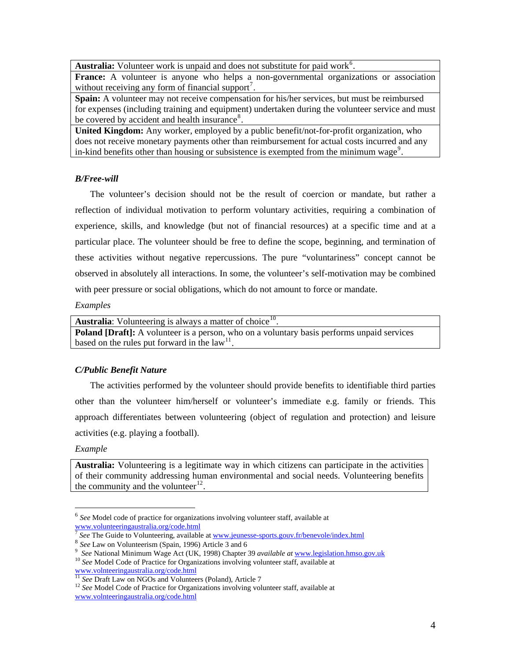Australia: Volunteer work is unpaid and does not substitute for paid work<sup>[6](#page-3-0)</sup>.

**France:** A volunteer is anyone who helps a non-governmental organizations or association without receiving any form of financial support<sup>[7](#page-3-1)</sup>.

**Spain:** A volunteer may not receive compensation for his/her services, but must be reimbursed for expenses (including training and equipment) undertaken during the volunteer service and must be covered by accident and health insurance<sup>[8](#page-3-2)</sup>.

**United Kingdom:** Any worker, employed by a public benefit/not-for-profit organization, who does not receive monetary payments other than reimbursement for actual costs incurred and any in-kind benefits other than housing or subsistence is exempted from the minimum wage<sup>[9](#page-3-3)</sup>.

## *B/Free-will*

The volunteer's decision should not be the result of coercion or mandate, but rather a reflection of individual motivation to perform voluntary activities, requiring a combination of experience, skills, and knowledge (but not of financial resources) at a specific time and at a particular place. The volunteer should be free to define the scope, beginning, and termination of these activities without negative repercussions. The pure "voluntariness" concept cannot be observed in absolutely all interactions. In some, the volunteer's self-motivation may be combined with peer pressure or social obligations, which do not amount to force or mandate.

## *Examples*

| <b>Australia:</b> Volunteering is always a matter of choice $^{10}$ .                             |
|---------------------------------------------------------------------------------------------------|
| <b>Poland [Draft]:</b> A volunteer is a person, who on a voluntary basis performs unpaid services |
| based on the rules put forward in the $law11$ .                                                   |
|                                                                                                   |

# *C/Public Benefit Nature*

The activities performed by the volunteer should provide benefits to identifiable third parties other than the volunteer him/herself or volunteer's immediate e.g. family or friends. This approach differentiates between volunteering (object of regulation and protection) and leisure activities (e.g. playing a football).

# *Example*

**Australia:** Volunteering is a legitimate way in which citizens can participate in the activities of their community addressing human environmental and social needs. Volunteering benefits the community and the volunteer $^{12}$  $^{12}$  $^{12}$ .

 $\overline{a}$ <sup>6</sup> *See* Model code of practice for organizations involving volunteer staff, available at

<span id="page-3-1"></span><span id="page-3-0"></span>[www.volunteeringaustralia.org/code.html](http://www.volunteeringaustralia.org/code.html)<br>
<sup>[7](http://www.volunteeringaustralia.org/code.html)</sup> *See* The Guide to Volunteering, available at <u>www.jeunesse-sports.gouv.fr/benevole/index.html</u><br>
<sup>8</sup> *See* Law on Volunteerism (Spain, 1996) Article 3 and 6

<span id="page-3-4"></span><span id="page-3-3"></span><span id="page-3-2"></span><sup>&</sup>lt;sup>9</sup> *See* National Minimum Wage Act (UK, 1998) Chapter 39 *available at* <u>[www.legislation.hmso.gov.uk](http://www.legislation.hmso.gov.uk/)</u> <sup>10</sup> *See* Model Code of Practice for Organizations involving volunteer staff, available at <u>www.volnteeringaustralia.o</u>

<span id="page-3-6"></span><span id="page-3-5"></span> $\frac{11}{12}$  *See* Draft Law on NGOs and Volunteers (Poland), Article 7  $\frac{12}{2}$  *See* Model Code of Practice for Organizations involving volunteer staff, available at [www.volnteeringaustralia.org/code.html](http://www.volnteeringaustralia.org/code.html)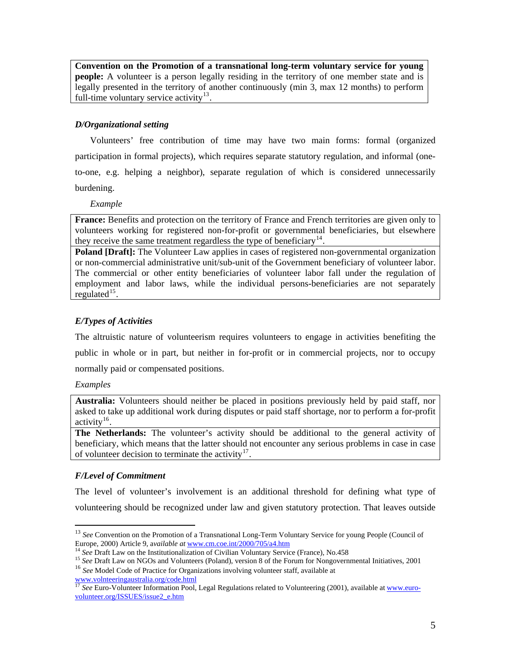**Convention on the Promotion of a transnational long-term voluntary service for young people:** A volunteer is a person legally residing in the territory of one member state and is legally presented in the territory of another continuously (min 3, max 12 months) to perform full-time voluntary service activity $13$ .

# *D/Organizational setting*

Volunteers' free contribution of time may have two main forms: formal (organized participation in formal projects), which requires separate statutory regulation, and informal (oneto-one, e.g. helping a neighbor), separate regulation of which is considered unnecessarily burdening.

*Example* 

**France:** Benefits and protection on the territory of France and French territories are given only to volunteers working for registered non-for-profit or governmental beneficiaries, but elsewhere they receive the same treatment regardless the type of beneficiary<sup>[14](#page-4-1)</sup>.

**Poland [Draft]:** The Volunteer Law applies in cases of registered non-governmental organization or non-commercial administrative unit/sub-unit of the Government beneficiary of volunteer labor. The commercial or other entity beneficiaries of volunteer labor fall under the regulation of employment and labor laws, while the individual persons-beneficiaries are not separately regulated $15$ .

# *E/Types of Activities*

The altruistic nature of volunteerism requires volunteers to engage in activities benefiting the public in whole or in part, but neither in for-profit or in commercial projects, nor to occupy normally paid or compensated positions.

## *Examples*

 $\overline{a}$ 

**Australia:** Volunteers should neither be placed in positions previously held by paid staff, nor asked to take up additional work during disputes or paid staff shortage, nor to perform a for-profit activity<sup>[16](#page-4-3)</sup>.

**The Netherlands:** The volunteer's activity should be additional to the general activity of beneficiary, which means that the latter should not encounter any serious problems in case in case of volunteer decision to terminate the activity $17$ .

# *F/Level of Commitment*

The level of volunteer's involvement is an additional threshold for defining what type of volunteering should be recognized under law and given statutory protection. That leaves outside

<span id="page-4-0"></span><sup>&</sup>lt;sup>13</sup> See Convention on the Promotion of a Transnational Long-Term Voluntary Service for young People (Council of Europe, 2000) Article 9, available at <u>[www.cm.coe.int/2000/705/a4.htm](http://www.cm.coe.int/2000/705/a4.htm)</u><br><sup>14</sup> See Draft Law on the Institutionalization of Civilian Voluntary Service (France), No.458<br><sup>15</sup> See Draft Law on NGOs and Volunteers (Poland), versi

<span id="page-4-1"></span>

<span id="page-4-3"></span><span id="page-4-2"></span>

[www.volnteeringaustralia.org/code.html](http://www.volnteeringaustralia.org/code.html)

<span id="page-4-4"></span><sup>&</sup>lt;sup>17</sup> See Euro-Volunteer Information Pool, Legal Regulations related to Volunteering (2001), available at [www.euro](http://www.euro-volunteer.org/ISSUES/issue2_e.htm)[volunteer.org/ISSUES/issue2\\_e.htm](http://www.euro-volunteer.org/ISSUES/issue2_e.htm)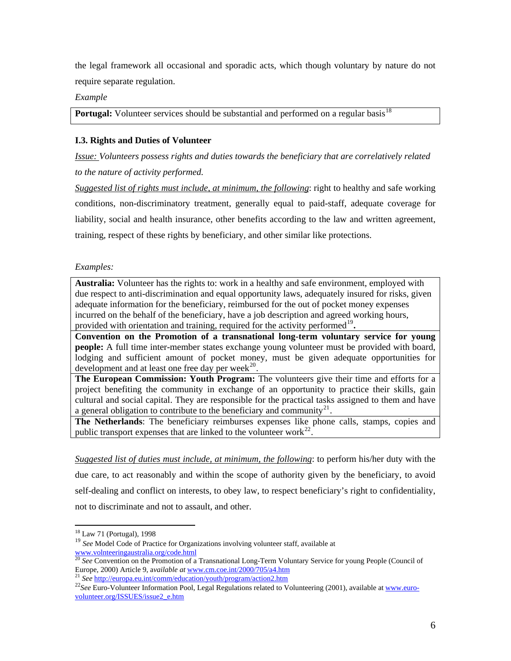the legal framework all occasional and sporadic acts, which though voluntary by nature do not require separate regulation.

*Example* 

**Portugal:** Volunteer services should be substantial and performed on a regular basis<sup>[18](#page-5-0)</sup>

## **I.3. Rights and Duties of Volunteer**

*Issue: Volunteers possess rights and duties towards the beneficiary that are correlatively related to the nature of activity performed.* 

*Suggested list of rights must include, at minimum, the following*: right to healthy and safe working conditions, non-discriminatory treatment, generally equal to paid-staff, adequate coverage for liability, social and health insurance, other benefits according to the law and written agreement, training, respect of these rights by beneficiary, and other similar like protections.

## *Examples:*

**Australia:** Volunteer has the rights to: work in a healthy and safe environment, employed with due respect to anti-discrimination and equal opportunity laws, adequately insured for risks, given adequate information for the beneficiary, reimbursed for the out of pocket money expenses incurred on the behalf of the beneficiary, have a job description and agreed working hours, provided with orientation and training, required for the activity performed<sup>[19](#page-5-1)</sup>.

**Convention on the Promotion of a transnational long-term voluntary service for young people:** A full time inter-member states exchange young volunteer must be provided with board, lodging and sufficient amount of pocket money, must be given adequate opportunities for development and at least one free day per week $^{20}$  $^{20}$  $^{20}$ .

**The European Commission: Youth Program:** The volunteers give their time and efforts for a project benefiting the community in exchange of an opportunity to practice their skills, gain cultural and social capital. They are responsible for the practical tasks assigned to them and have a general obligation to contribute to the beneficiary and community<sup>[21](#page-5-3)</sup>.

**The Netherlands**: The beneficiary reimburses expenses like phone calls, stamps, copies and public transport expenses that are linked to the volunteer work $^{22}$  $^{22}$  $^{22}$ .

*Suggested list of duties must include, at minimum, the following*: to perform his/her duty with the due care, to act reasonably and within the scope of authority given by the beneficiary, to avoid self-dealing and conflict on interests, to obey law, to respect beneficiary's right to confidentiality, not to discriminate and not to assault, and other.

 $\overline{a}$ 

<sup>&</sup>lt;sup>18</sup> Law 71 (Portugal), 1998

<span id="page-5-1"></span><span id="page-5-0"></span><sup>&</sup>lt;sup>19</sup> See Model Code of Practice for Organizations involving volunteer staff, available at [www.volnteeringaustralia.org/code.html](http://www.volnteeringaustralia.org/code.html)

<span id="page-5-2"></span><sup>20</sup> *See* Convention on the Promotion of a Transnational Long-Term Voluntary Service for young People (Council of Europe, 2000) Article 9, available at www.cm.coe.int/2000/705/a4.htm<br>
<sup>21</sup> See <http://europa.eu.int/comm/education/youth/program/action2.htm><br>
<sup>22</sup> See Euro-Volunteer Information Pool, Legal Regulations related to Volunteer

<span id="page-5-3"></span>

<span id="page-5-4"></span>[volunteer.org/ISSUES/issue2\\_e.htm](http://www.euro-volunteer.org/ISSUES/issue2_e.htm)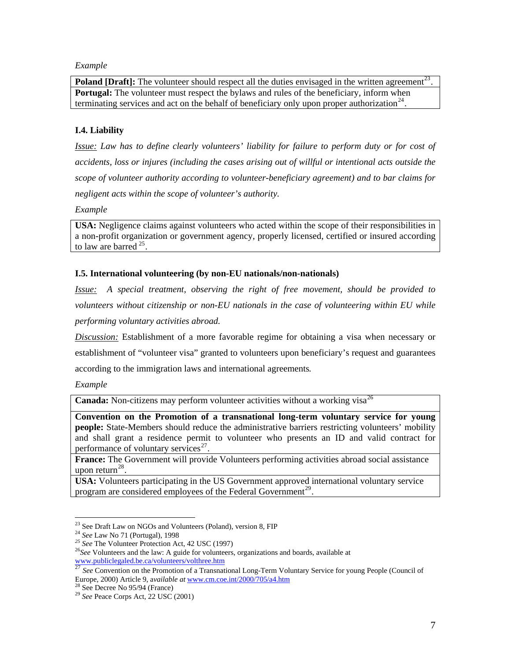#### *Example*

**Poland [Draft]:** The volunteer should respect all the duties envisaged in the written agreement<sup>[23](#page-6-0)</sup>. **Portugal:** The volunteer must respect the bylaws and rules of the beneficiary, inform when terminating services and act on the behalf of beneficiary only upon proper authorization<sup>[24](#page-6-1)</sup>.

## **I.4. Liability**

*Issue: Law has to define clearly volunteers' liability for failure to perform duty or for cost of accidents, loss or injures (including the cases arising out of willful or intentional acts outside the scope of volunteer authority according to volunteer-beneficiary agreement) and to bar claims for negligent acts within the scope of volunteer's authority.* 

*Example* 

**USA:** Negligence claims against volunteers who acted within the scope of their responsibilities in a non-profit organization or government agency, properly licensed, certified or insured according to law are barred  $^{25}$  $^{25}$  $^{25}$ .

### **I.5. International volunteering (by non-EU nationals/non-nationals)**

*Issue: A special treatment, observing the right of free movement, should be provided to volunteers without citizenship or non-EU nationals in the case of volunteering within EU while performing voluntary activities abroad.* 

*Discussion:* Establishment of a more favorable regime for obtaining a visa when necessary or establishment of "volunteer visa" granted to volunteers upon beneficiary's request and guarantees according to the immigration laws and international agreements*.* 

*Example* 

**Canada:** Non-citizens may perform volunteer activities without a working visa<sup>[26](#page-6-3)</sup>

**Convention on the Promotion of a transnational long-term voluntary service for young people:** State-Members should reduce the administrative barriers restricting volunteers' mobility and shall grant a residence permit to volunteer who presents an ID and valid contract for performance of voluntary services $^{27}$  $^{27}$  $^{27}$ .

**France:** The Government will provide Volunteers performing activities abroad social assistance upon return $^{28}$  $^{28}$  $^{28}$ .

**USA:** Volunteers participating in the US Government approved international voluntary service program are considered employees of the Federal Government<sup>[29](#page-6-6)</sup>.

<span id="page-6-0"></span><sup>&</sup>lt;sup>23</sup> See Draft Law on NGOs and Volunteers (Poland), version 8, FIP

<span id="page-6-2"></span><span id="page-6-1"></span><sup>&</sup>lt;sup>24</sup> See Law No 71 (Portugal), 1998<br>
<sup>25</sup> See The Volunteer Protection Act, 42 USC (1997)<br>
<sup>26</sup> See Volunteers and the law: A guide for volunteers, organizations and boards, available at

<span id="page-6-4"></span><span id="page-6-3"></span>[www.publiclegaled.be.ca/volunteers/volthree.htm](http://www.publiclegaled.be.ca/volunteers/volthree.htm)<br>
<sup>[27](http://www.publiclegaled.be.ca/volunteers/volthree.htm)</sup> *See* Convention on the Promotion of a Transnational Long-Term Voluntary Service for young People (Council of Europe, 2000) Article 9, a*vailable at* [www.cm.coe.int/2000/705/a4.htm](http://www.cm.coe.int/2000/705/a4.htm) 28 See Decree No 95/94 (France)

<span id="page-6-6"></span><span id="page-6-5"></span><sup>29</sup> *See* Peace Corps Act, 22 USC (2001)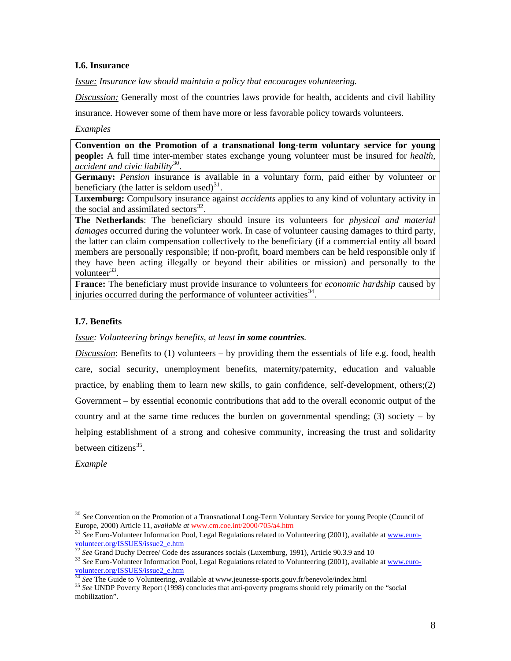#### **I.6. Insurance**

*Issue: Insurance law should maintain a policy that encourages volunteering.* 

*Discussion:* Generally most of the countries laws provide for health, accidents and civil liability

insurance. However some of them have more or less favorable policy towards volunteers.

### *Examples*

**Convention on the Promotion of a transnational long-term voluntary service for young people:** A full time inter-member states exchange young volunteer must be insured for *health, accident and civic liability*[30](#page-7-0).

**Germany:** *Pension* insurance is available in a voluntary form, paid either by volunteer or beneficiary (the latter is seldom used) $31$ .

**Luxemburg:** Compulsory insurance against *accidents* applies to any kind of voluntary activity in the social and assimilated sectors $32$ .

**The Netherlands**: The beneficiary should insure its volunteers for *physical and material damages* occurred during the volunteer work. In case of volunteer causing damages to third party, the latter can claim compensation collectively to the beneficiary (if a commercial entity all board members are personally responsible; if non-profit, board members can be held responsible only if they have been acting illegally or beyond their abilities or mission) and personally to the volunteer $33$ .

**France:** The beneficiary must provide insurance to volunteers for *economic hardship* caused by injuries occurred during the performance of volunteer activities  $34$ .

# **I.7. Benefits**

*Issue: Volunteering brings benefits, at least in some countries.* 

*Discussion*: Benefits to (1) volunteers – by providing them the essentials of life e.g. food, health care, social security, unemployment benefits, maternity/paternity, education and valuable practice, by enabling them to learn new skills, to gain confidence, self-development, others;(2) Government – by essential economic contributions that add to the overall economic output of the country and at the same time reduces the burden on governmental spending; (3) society – by helping establishment of a strong and cohesive community, increasing the trust and solidarity between citizens $35$ .

*Example* 

 $\overline{a}$ 

<span id="page-7-0"></span><sup>&</sup>lt;sup>30</sup> *See* Convention on the Promotion of a Transnational Long-Term Voluntary Service for young People (Council of Europe, 2000) Article 11, available at www.cm.coe.int/2000/705/a4.htm

<span id="page-7-1"></span><sup>&</sup>lt;sup>31</sup> See Euro-Volunteer Information Pool, Legal Regulations related to Volunteering (2001), available at [www.euro](http://www.euro-volunteer.org/ISSUES/issue2_e.htm)[volunteer.org/ISSUES/issue2\\_e.htm](http://www.euro-volunteer.org/ISSUES/issue2_e.htm)<br>
<sup>32</sup> See Grand Duchy Decree/ Code des assurances socials (Luxemburg, 1991), Article 90.3.9 and 10

<span id="page-7-3"></span><span id="page-7-2"></span><sup>&</sup>lt;sup>33</sup> See Euro-Volunteer Information Pool, Legal Regulations related to Volunteering (2001), available at [www.euro](http://www.euro-volunteer.org/ISSUES/issue2_e.htm)[volunteer.org/ISSUES/issue2\\_e.htm](http://www.euro-volunteer.org/ISSUES/issue2_e.htm)<br>
<sup>34</sup> See The Guide to Volunteering, available at www.jeunesse-sports.gouv.fr/benevole/index.html

<span id="page-7-5"></span><span id="page-7-4"></span><sup>&</sup>lt;sup>35</sup> See UNDP Poverty Report (1998) concludes that anti-poverty programs should rely primarily on the "social mobilization".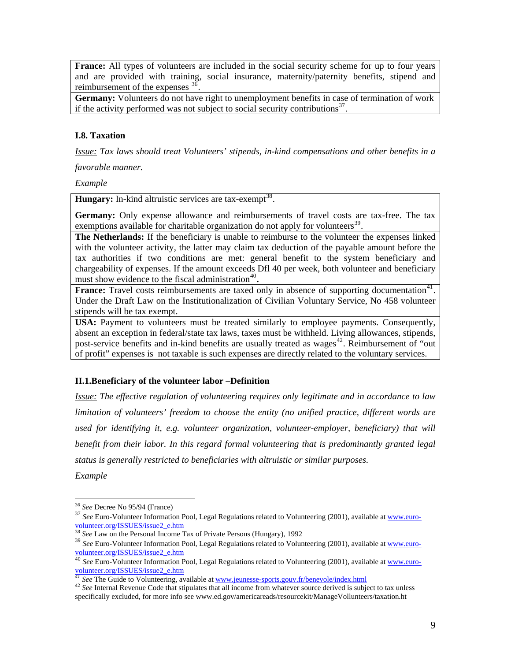**France:** All types of volunteers are included in the social security scheme for up to four years and are provided with training, social insurance, maternity/paternity benefits, stipend and reimbursement of the expenses  $3\overline{6}$ .

**Germany:** Volunteers do not have right to unemployment benefits in case of termination of work if the activity performed was not subject to social security contributions<sup>[37](#page-8-1)</sup>.

## **I.8. Taxation**

*Issue: Tax laws should treat Volunteers' stipends, in-kind compensations and other benefits in a favorable manner.* 

*Example* 

**Hungary:** In-kind altruistic services are tax-exempt<sup>[38](#page-8-2)</sup>.

**Germany:** Only expense allowance and reimbursements of travel costs are tax-free. The tax exemptions available for charitable organization do not apply for volunteers<sup>[39](#page-8-3)</sup>.

**The Netherlands:** If the beneficiary is unable to reimburse to the volunteer the expenses linked with the volunteer activity, the latter may claim tax deduction of the payable amount before the tax authorities if two conditions are met: general benefit to the system beneficiary and chargeability of expenses. If the amount exceeds Dfl 40 per week, both volunteer and beneficiary must show evidence to the fiscal administration<sup>[40](#page-8-4)</sup>.

**France:** Travel costs reimbursements are taxed only in absence of supporting documentation<sup>[41](#page-8-5)</sup>. Under the Draft Law on the Institutionalization of Civilian Voluntary Service, No 458 volunteer stipends will be tax exempt.

**USA:** Payment to volunteers must be treated similarly to employee payments. Consequently, absent an exception in federal/state tax laws, taxes must be withheld. Living allowances, stipends, post-service benefits and in-kind benefits are usually treated as wages<sup>[42](#page-8-6)</sup>. Reimbursement of "out of profit" expenses is not taxable is such expenses are directly related to the voluntary services.

## **II.1.Beneficiary of the volunteer labor –Definition**

*Issue: The effective regulation of volunteering requires only legitimate and in accordance to law limitation of volunteers' freedom to choose the entity (no unified practice, different words are used for identifying it, e.g. volunteer organization, volunteer-employer, beneficiary) that will benefit from their labor. In this regard formal volunteering that is predominantly granted legal status is generally restricted to beneficiaries with altruistic or similar purposes. Example* 

<span id="page-8-0"></span><sup>&</sup>lt;sup>36</sup> See Decree No 95/94 (France)

<span id="page-8-1"></span><sup>&</sup>lt;sup>37</sup> See Euro-Volunteer Information Pool, Legal Regulations related to Volunteering (2001), available at [www.euro](http://www.euro-volunteer.org/ISSUES/issue2_e.htm)[volunteer.org/ISSUES/issue2\\_e.htm](http://www.euro-volunteer.org/ISSUES/issue2_e.htm)

<sup>38</sup> *See* Law on the Personal Income Tax of Private Persons (Hungary), 1992

<span id="page-8-3"></span><span id="page-8-2"></span><sup>&</sup>lt;sup>39</sup> See Euro-Volunteer Information Pool, Legal Regulations related to Volunteering (2001), available at [www.euro](http://www.euro-volunteer.org/ISSUES/issue2_e.htm)[volunteer.org/ISSUES/issue2\\_e.htm](http://www.euro-volunteer.org/ISSUES/issue2_e.htm)

<span id="page-8-4"></span><sup>40</sup> *See* Euro-Volunteer Information Pool, Legal Regulations related to Volunteering (2001), available at [www.euro](http://www.euro-volunteer.org/ISSUES/issue2_e.htm)[volunteer.org/ISSUES/issue2\\_e.htm](http://www.euro-volunteer.org/ISSUES/issue2_e.htm)

<span id="page-8-6"></span><span id="page-8-5"></span>*<sup>41</sup> See* The Guide to Volunteering, available at <u>www.jeunesse-sports.gouv.fr/benevole/index.html</u><br><sup>42</sup> *See* Internal Revenue Code that stipulates that all income from whatever source derived is subject to tax unless specifically excluded, for more info see www.ed.gov/americareads/resourcekit/ManageVollunteers/taxation.ht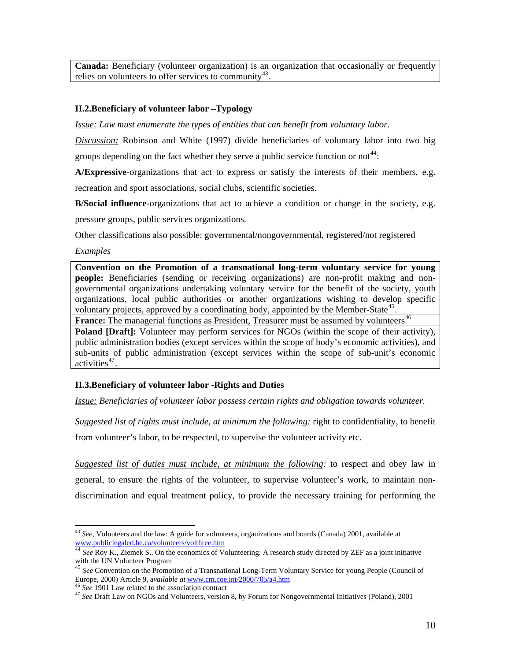**Canada:** Beneficiary (volunteer organization) is an organization that occasionally or frequently relies on volunteers to offer services to community<sup>[43](#page-9-0)</sup>

## **II.2.Beneficiary of volunteer labor –Typology**

*Issue: Law must enumerate the types of entities that can benefit from voluntary labor.* 

*Discussion:* Robinson and White (1997) divide beneficiaries of voluntary labor into two big groups depending on the fact whether they serve a public service function or not<sup>[44](#page-9-1)</sup>:

**A/Expressive**-organizations that act to express or satisfy the interests of their members, e.g. recreation and sport associations, social clubs, scientific societies.

**B/Social influence-**organizations that act to achieve a condition or change in the society, e.g. pressure groups, public services organizations.

Other classifications also possible: governmental/nongovernmental, registered/not registered

*Examples* 

**Convention on the Promotion of a transnational long-term voluntary service for young people:** Beneficiaries (sending or receiving organizations) are non-profit making and nongovernmental organizations undertaking voluntary service for the benefit of the society, youth organizations, local public authorities or another organizations wishing to develop specific voluntary projects, approved by a coordinating body, appointed by the Member-State<sup>[45](#page-9-2)</sup>.

**France:** The managerial functions as President, Treasurer must be assumed by volunteers<sup>[46](#page-9-3)</sup>

**Poland [Draft]:** Volunteer may perform services for NGOs (within the scope of their activity), public administration bodies (except services within the scope of body's economic activities), and sub-units of public administration (except services within the scope of sub-unit's economic activities<sup>[47](#page-9-4)</sup>.

## **II.3.Beneficiary of volunteer labor -Rights and Duties**

*Issue: Beneficiaries of volunteer labor possess certain rights and obligation towards volunteer.* 

*Suggested list of rights must include, at minimum the following:* right to confidentiality, to benefit from volunteer's labor, to be respected, to supervise the volunteer activity etc.

*Suggested list of duties must include, at minimum the following:* to respect and obey law in general, to ensure the rights of the volunteer, to supervise volunteer's work, to maintain nondiscrimination and equal treatment policy, to provide the necessary training for performing the

 $\overline{a}$ <sup>43</sup> *See,* Volunteers and the law: A guide for volunteers, organizations and boards (Canada) 2001, available at

<span id="page-9-1"></span><span id="page-9-0"></span>[www.publiclegaled.be.ca/volunteers/volthree.htm](http://www.publiclegaled.be.ca/volunteers/volthree.htm)<br>
<sup>[44](http://www.publiclegaled.be.ca/volunteers/volthree.htm)</sup> *See* Roy K., Ziemek S., On the economics of Volunteering: A research study directed by ZEF as a joint initiative<br>
with the UN Volunteer Program

<span id="page-9-2"></span><sup>&</sup>lt;sup>45</sup> See Convention on the Promotion of a Transnational Long-Term Voluntary Service for young People (Council of Europe, 2000) Article 9, available at [www.cm.coe.int/2000/705/a4.htm](http://www.cm.coe.int/2000/705/a4.htm)<br><sup>46</sup> See 1901 Law related to the association contract<br><sup>47</sup> See Draft Law on NGOs and Volunteers, version 8, by Forum for Nongovernmental Initiatives (Pol

<span id="page-9-4"></span><span id="page-9-3"></span>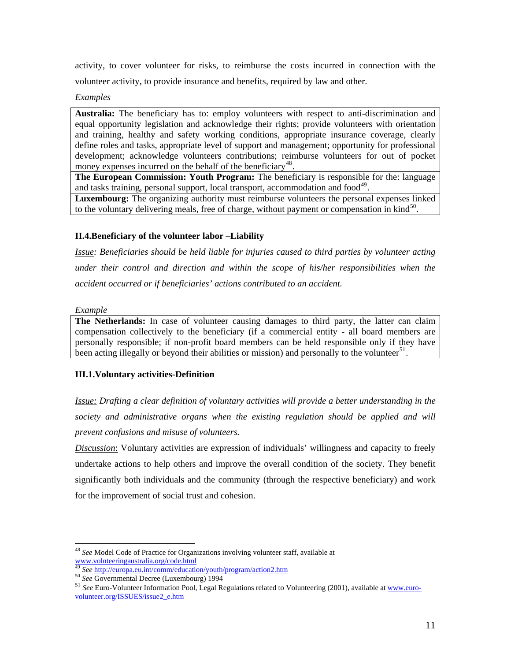activity, to cover volunteer for risks, to reimburse the costs incurred in connection with the volunteer activity, to provide insurance and benefits, required by law and other.

*Examples* 

**Australia:** The beneficiary has to: employ volunteers with respect to anti-discrimination and equal opportunity legislation and acknowledge their rights; provide volunteers with orientation and training, healthy and safety working conditions, appropriate insurance coverage, clearly define roles and tasks, appropriate level of support and management; opportunity for professional development; acknowledge volunteers contributions; reimburse volunteers for out of pocket money expenses incurred on the behalf of the beneficiary<sup>[48](#page-10-0)</sup>.

**The European Commission: Youth Program:** The beneficiary is responsible for the: language and tasks training, personal support, local transport, accommodation and  $food<sup>49</sup>$  $food<sup>49</sup>$  $food<sup>49</sup>$ .

**Luxembourg:** The organizing authority must reimburse volunteers the personal expenses linked to the voluntary delivering meals, free of charge, without payment or compensation in  $\text{kind}^{50}$  $\text{kind}^{50}$  $\text{kind}^{50}$ .

# **II.4.Beneficiary of the volunteer labor –Liability**

*Issue: Beneficiaries should be held liable for injuries caused to third parties by volunteer acting under their control and direction and within the scope of his/her responsibilities when the accident occurred or if beneficiaries' actions contributed to an accident.* 

*Example* 

**The Netherlands:** In case of volunteer causing damages to third party, the latter can claim compensation collectively to the beneficiary (if a commercial entity - all board members are personally responsible; if non-profit board members can be held responsible only if they have been acting illegally or beyond their abilities or mission) and personally to the volunteer<sup>[51](#page-10-3)</sup>.

# **III.1.Voluntary activities-Definition**

*Issue: Drafting a clear definition of voluntary activities will provide a better understanding in the society and administrative organs when the existing regulation should be applied and will prevent confusions and misuse of volunteers.* 

*Discussion*: Voluntary activities are expression of individuals' willingness and capacity to freely undertake actions to help others and improve the overall condition of the society. They benefit significantly both individuals and the community (through the respective beneficiary) and work for the improvement of social trust and cohesion.

<span id="page-10-0"></span> $\overline{a}$ <sup>48</sup> *See* Model Code of Practice for Organizations involving volunteer staff, available at [www.volnteeringaustralia.org/code.html](http://www.volnteeringaustralia.org/code.html)<br>
<sup>49</sup> See http://europa.eu.int/comm/education/youth/program/action2.htm

<span id="page-10-3"></span><span id="page-10-2"></span><span id="page-10-1"></span><sup>&</sup>lt;sup>50</sup> See Governmental Decree (Luxembourg) 1994<br><sup>51</sup> See Euro-Volunteer Information Pool, Legal Regulations related to Volunteering (2001), available at [www.euro](http://www.euro-volunteer.org/ISSUES/issue2_e.htm)[volunteer.org/ISSUES/issue2\\_e.htm](http://www.euro-volunteer.org/ISSUES/issue2_e.htm)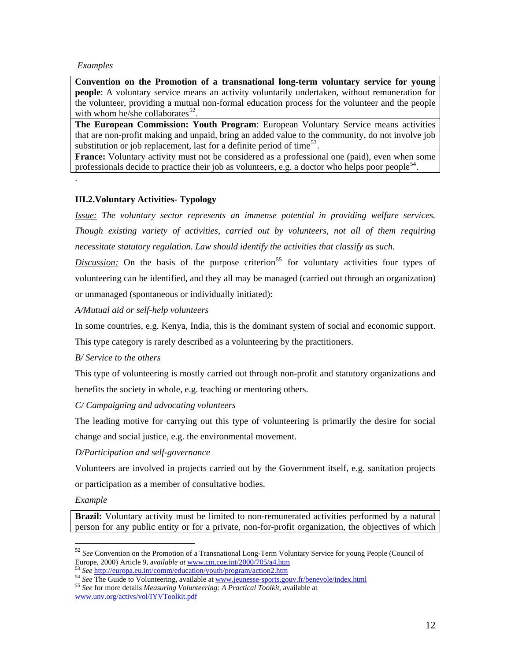### *Examples*

.

**Convention on the Promotion of a transnational long-term voluntary service for young people**: A voluntary service means an activity voluntarily undertaken, without remuneration for the volunteer, providing a mutual non-formal education process for the volunteer and the people with whom he/she collaborates $^{52}$  $^{52}$  $^{52}$ .

**The European Commission: Youth Program**: European Voluntary Service means activities that are non-profit making and unpaid, bring an added value to the community, do not involve job substitution or job replacement, last for a definite period of time<sup>[53](#page-11-1)</sup>.

**France:** Voluntary activity must not be considered as a professional one (paid), even when some professionals decide to practice their job as volunteers, e.g. a doctor who helps poor people<sup>[54](#page-11-2)</sup>

## **III.2.Voluntary Activities- Typology**

*Issue: The voluntary sector represents an immense potential in providing welfare services. Though existing variety of activities, carried out by volunteers, not all of them requiring necessitate statutory regulation. Law should identify the activities that classify as such.* 

*Discussion:* On the basis of the purpose criterion<sup>[55](#page-11-3)</sup> for voluntary activities four types of volunteering can be identified, and they all may be managed (carried out through an organization) or unmanaged (spontaneous or individually initiated):

*A/Mutual aid or self-help volunteers* 

In some countries, e.g. Kenya, India, this is the dominant system of social and economic support.

This type category is rarely described as a volunteering by the practitioners.

*B/ Service to the others* 

This type of volunteering is mostly carried out through non-profit and statutory organizations and benefits the society in whole, e.g. teaching or mentoring others.

*C/ Campaigning and advocating volunteers* 

The leading motive for carrying out this type of volunteering is primarily the desire for social change and social justice, e.g. the environmental movement.

*D/Participation and self-governance* 

Volunteers are involved in projects carried out by the Government itself, e.g. sanitation projects or participation as a member of consultative bodies.

*Example* 

 $\overline{a}$ 

**Brazil:** Voluntary activity must be limited to non-remunerated activities performed by a natural person for any public entity or for a private, non-for-profit organization, the objectives of which

<span id="page-11-0"></span><sup>52</sup> *See* Convention on the Promotion of a Transnational Long-Term Voluntary Service for young People (Council of Europe, 2000) Article 9, available at <u>[www.cm.coe.int/2000/705/a4.htm](http://www.cm.coe.int/2000/705/a4.htm)</u><br>
<sup>53</sup> See <http://europa.eu.int/comm/education/youth/program/action2.htm><br>
<sup>54</sup> See The Guide to Volunteering, available at <u>www.jeunesse-sports.gouv.fr/</u>

<span id="page-11-2"></span><span id="page-11-1"></span>

<span id="page-11-3"></span>[www.unv.org/activs/vol/IYVToolkit.pdf](http://www.unv.org/activs/vol/IYVToolkit.pdf)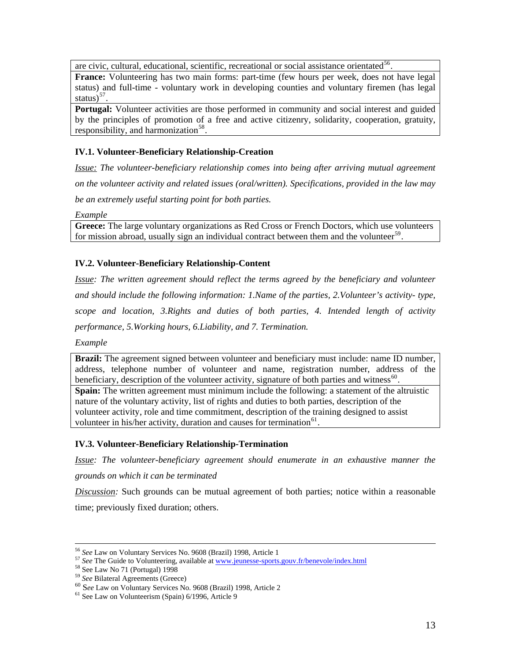are civic, cultural, educational, scientific, recreational or social assistance orientated<sup>[56](#page-12-0)</sup>.

**France:** Volunteering has two main forms: part-time (few hours per week, does not have legal status) and full-time - voluntary work in developing counties and voluntary firemen (has legal status $)^{57}$  $)^{57}$  $)^{57}$ .

**Portugal:** Volunteer activities are those performed in community and social interest and guided by the principles of promotion of a free and active citizenry, solidarity, cooperation, gratuity, responsibility, and harmonization<sup>[58](#page-12-2)</sup>.

# **IV.1. Volunteer-Beneficiary Relationship-Creation**

*Issue: The volunteer-beneficiary relationship comes into being after arriving mutual agreement on the volunteer activity and related issues (oral/written). Specifications, provided in the law may be an extremely useful starting point for both parties.* 

*Example* 

**Greece:** The large voluntary organizations as Red Cross or French Doctors, which use volunteers for mission abroad, usually sign an individual contract between them and the volunteer<sup>[59](#page-12-3)</sup>.

## **IV.2. Volunteer-Beneficiary Relationship-Content**

*Issue: The written agreement should reflect the terms agreed by the beneficiary and volunteer and should include the following information: 1.Name of the parties, 2.Volunteer's activity- type, scope and location, 3.Rights and duties of both parties, 4. Intended length of activity performance, 5.Working hours, 6.Liability, and 7. Termination.* 

*Example* 

**Brazil:** The agreement signed between volunteer and beneficiary must include: name ID number, address, telephone number of volunteer and name, registration number, address of the beneficiary, description of the volunteer activity, signature of both parties and witness $^{60}$  $^{60}$  $^{60}$ . **Spain:** The written agreement must minimum include the following: a statement of the altruistic nature of the voluntary activity, list of rights and duties to both parties, description of the volunteer activity, role and time commitment, description of the training designed to assist volunteer in his/her activity, duration and causes for termination<sup>[61](#page-12-5)</sup>.

## **IV.3. Volunteer-Beneficiary Relationship-Termination**

*Issue: The volunteer-beneficiary agreement should enumerate in an exhaustive manner the grounds on which it can be terminated* 

*Discussion:* Such grounds can be mutual agreement of both parties; notice within a reasonable time; previously fixed duration; others.

<span id="page-12-1"></span><span id="page-12-0"></span><sup>&</sup>lt;sup>56</sup> *See* Law on Voluntary Services No. 9608 (Brazil) 1998, Article 1<br><sup>57</sup> *See* The Guide to Volunteering, available at <u>www.jeunesse-sports.gouv.fr/benevole/index.html</u><br><sup>58</sup> *See* Law No 71 (Portugal) 1998<br><sup>59</sup> *See* Bi

<span id="page-12-2"></span>

<span id="page-12-5"></span><span id="page-12-4"></span><span id="page-12-3"></span><sup>&</sup>lt;sup>60</sup> See Law on Voluntary Services No. 9608 (Brazil) 1998, Article 2 <sup>61</sup> See Law on Volunteerism (Spain) 6/1996, Article 9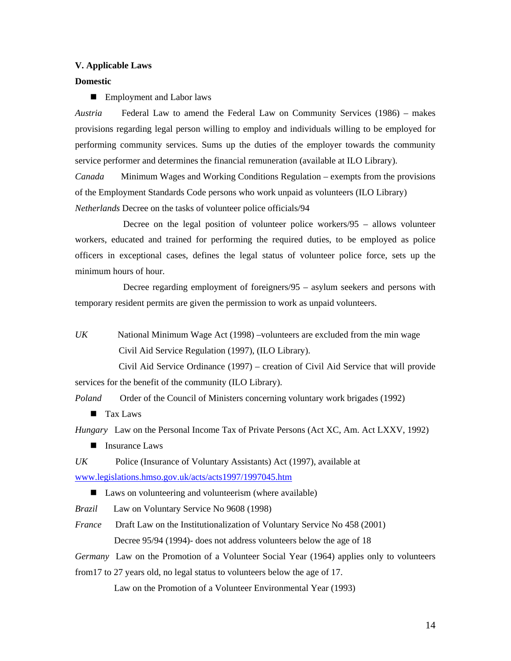#### **V. Applicable Laws**

#### **Domestic**

**Employment and Labor laws** 

*Austria* Federal Law to amend the Federal Law on Community Services (1986) – makes provisions regarding legal person willing to employ and individuals willing to be employed for performing community services. Sums up the duties of the employer towards the community service performer and determines the financial remuneration (available at ILO Library).

*Canada* Minimum Wages and Working Conditions Regulation – exempts from the provisions of the Employment Standards Code persons who work unpaid as volunteers (ILO Library) *Netherlands* Decree on the tasks of volunteer police officials/94

 Decree on the legal position of volunteer police workers/95 – allows volunteer workers, educated and trained for performing the required duties, to be employed as police officers in exceptional cases, defines the legal status of volunteer police force, sets up the minimum hours of hour.

 Decree regarding employment of foreigners/95 – asylum seekers and persons with temporary resident permits are given the permission to work as unpaid volunteers.

*UK* National Minimum Wage Act (1998) –volunteers are excluded from the min wage Civil Aid Service Regulation (1997), (ILO Library).

 Civil Aid Service Ordinance (1997) – creation of Civil Aid Service that will provide services for the benefit of the community (ILO Library).

*Poland* Order of the Council of Ministers concerning voluntary work brigades (1992)

**Tax Laws** 

*Hungary* Law on the Personal Income Tax of Private Persons (Act XC, Am. Act LXXV, 1992)

**Insurance Laws** 

*UK* Police (Insurance of Voluntary Assistants) Act (1997), available at [www.legislations.hmso.gov.uk/acts/acts1997/1997045.htm](http://www.legislations.hmso.gov.uk/acts/acts1997/1997045.htm) 

- Laws on volunteering and volunteerism (where available)
- *Brazil* Law on Voluntary Service No 9608 (1998)
- *France* Draft Law on the Institutionalization of Voluntary Service No 458 (2001) Decree 95/94 (1994)- does not address volunteers below the age of 18
- *Germany* Law on the Promotion of a Volunteer Social Year (1964) applies only to volunteers

from17 to 27 years old, no legal status to volunteers below the age of 17.

Law on the Promotion of a Volunteer Environmental Year (1993)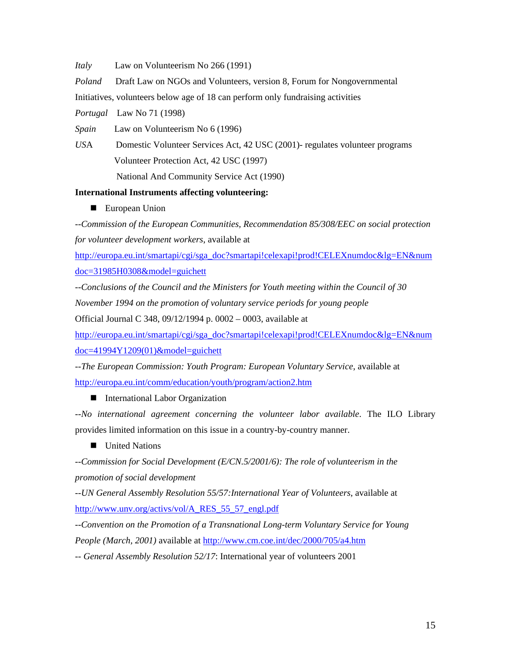*Italy* Law on Volunteerism No 266 (1991)

*Poland* Draft Law on NGOs and Volunteers, version 8, Forum for Nongovernmental

Initiatives, volunteers below age of 18 can perform only fundraising activities

*Portugal* Law No 71 (1998)

*Spain* Law on Volunteerism No 6 (1996)

*US*A Domestic Volunteer Services Act, 42 USC (2001)- regulates volunteer programs Volunteer Protection Act, 42 USC (1997)

National And Community Service Act (1990)

## **International Instruments affecting volunteering:**

**European Union** 

--*Commission of the European Communities, Recommendation 85/308/EEC on social protection for volunteer development workers*, available at

[http://europa.eu.int/smartapi/cgi/sga\\_doc?smartapi!celexapi!prod!CELEXnumdoc&lg=EN&num](http://europa.eu.int/smartapi/cgi/sga_doc?smartapi!celexapi!prod!CELEXnumdoc&lg=EN&numdoc=31985H0308&model=guichett) [doc=31985H0308&model=guichett](http://europa.eu.int/smartapi/cgi/sga_doc?smartapi!celexapi!prod!CELEXnumdoc&lg=EN&numdoc=31985H0308&model=guichett)

--*Conclusions of the Council and the Ministers for Youth meeting within the Council of 30 November 1994 on the promotion of voluntary service periods for young people*

Official Journal C 348, 09/12/1994 p. 0002 – 0003, available at

[http://europa.eu.int/smartapi/cgi/sga\\_doc?smartapi!celexapi!prod!CELEXnumdoc&lg=EN&num](http://europa.eu.int/smartapi/cgi/sga_doc?smartapi!celexapi!prod!CELEXnumdoc&lg=EN&numdoc=41994Y1209(01)&model=guichett) [doc=41994Y1209\(01\)&model=guichett](http://europa.eu.int/smartapi/cgi/sga_doc?smartapi!celexapi!prod!CELEXnumdoc&lg=EN&numdoc=41994Y1209(01)&model=guichett) 

--*The European Commission: Youth Program: European Voluntary Service*, available at <http://europa.eu.int/comm/education/youth/program/action2.htm>

## ■ International Labor Organization

--*No international agreement concerning the volunteer labor available*. The ILO Library provides limited information on this issue in a country-by-country manner.

## **United Nations**

--*Commission for Social Development (E/CN.5/2001/6): The role of volunteerism in the promotion of social development* 

--*UN General Assembly Resolution 55/57:International Year of Volunteers*, available at [http://www.unv.org/activs/vol/A\\_RES\\_55\\_57\\_engl.pdf](http://www.unv.org/activs/vol/A_RES_55_57_engl.pdf)

--*Convention on the Promotion of a Transnational Long-term Voluntary Service for Young People (March, 2001)* available at<http://www.cm.coe.int/dec/2000/705/a4.htm>

-- *General Assembly Resolution 52/17*: International year of volunteers 2001